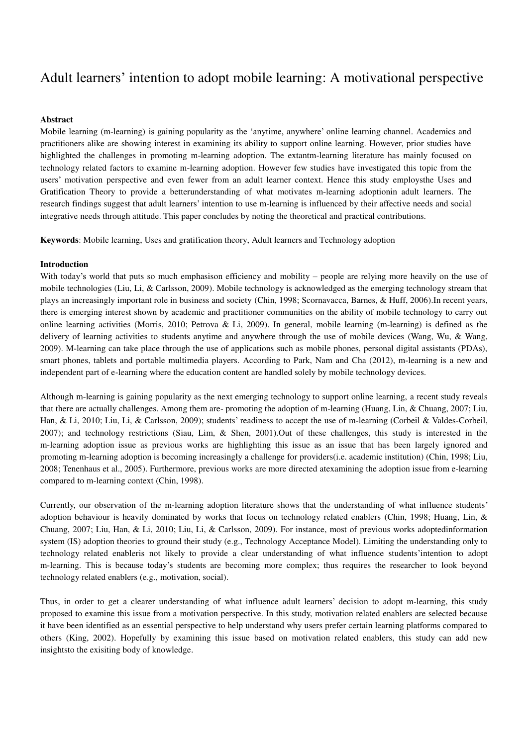# Adult learners" intention to adopt mobile learning: A motivational perspective

# **Abstract**

Mobile learning (m-learning) is gaining popularity as the "anytime, anywhere" online learning channel. Academics and practitioners alike are showing interest in examining its ability to support online learning. However, prior studies have highlighted the challenges in promoting m-learning adoption. The extantm-learning literature has mainly focused on technology related factors to examine m-learning adoption. However few studies have investigated this topic from the users" motivation perspective and even fewer from an adult learner context. Hence this study employsthe Uses and Gratification Theory to provide a betterunderstanding of what motivates m-learning adoptionin adult learners. The research findings suggest that adult learners" intention to use m-learning is influenced by their affective needs and social integrative needs through attitude. This paper concludes by noting the theoretical and practical contributions.

**Keywords**: Mobile learning, Uses and gratification theory, Adult learners and Technology adoption

# **Introduction**

With today's world that puts so much emphasison efficiency and mobility – people are relying more heavily on the use of mobile technologies (Liu, Li, & Carlsson, 2009). Mobile technology is acknowledged as the emerging technology stream that plays an increasingly important role in business and society (Chin, 1998; Scornavacca, Barnes, & Huff, 2006).In recent years, there is emerging interest shown by academic and practitioner communities on the ability of mobile technology to carry out online learning activities (Morris, 2010; Petrova & Li, 2009). In general, mobile learning (m-learning) is defined as the delivery of learning activities to students anytime and anywhere through the use of mobile devices (Wang, Wu, & Wang, 2009). M-learning can take place through the use of applications such as mobile phones, personal digital assistants (PDAs), smart phones, tablets and portable multimedia players. According to Park, Nam and Cha (2012), m-learning is a new and independent part of e-learning where the education content are handled solely by mobile technology devices.

Although m-learning is gaining popularity as the next emerging technology to support online learning, a recent study reveals that there are actually challenges. Among them are- promoting the adoption of m-learning (Huang, Lin, & Chuang, 2007; Liu, Han, & Li, 2010; Liu, Li, & Carlsson, 2009); students' readiness to accept the use of m-learning (Corbeil & Valdes-Corbeil,  $2007$ ); and technology restrictions (Siau, Lim, & Shen, 2001).Out of these challenges, this study is interested in the m-learning adoption issue as previous works are highlighting this issue as an issue that has been largely ignored and promoting m-learning adoption is becoming increasingly a challenge for providers(i.e. academic institution) (Chin, 1998; Liu, 2008; Tenenhaus et al., 2005). Furthermore, previous works are more directed atexamining the adoption issue from e-learning compared to m-learning context (Chin, 1998).

Currently, our observation of the m-learning adoption literature shows that the understanding of what influence students" adoption behaviour is heavily dominated by works that focus on technology related enablers (Chin, 1998; Huang, Lin, & Chuang, 2007; Liu, Han, & Li, 2010; Liu, Li, & Carlsson, 2009). For instance, most of previous works adoptedinformation system (IS) adoption theories to ground their study (e.g., Technology Acceptance Model). Limiting the understanding only to technology related enableris not likely to provide a clear understanding of what influence students"intention to adopt m-learning. This is because today"s students are becoming more complex; thus requires the researcher to look beyond technology related enablers (e.g., motivation, social).

Thus, in order to get a clearer understanding of what influence adult learners" decision to adopt m-learning, this study proposed to examine this issue from a motivation perspective. In this study, motivation related enablers are selected because it have been identified as an essential perspective to help understand why users prefer certain learning platforms compared to others (King, 2002). Hopefully by examining this issue based on motivation related enablers, this study can add new insightsto the exisiting body of knowledge.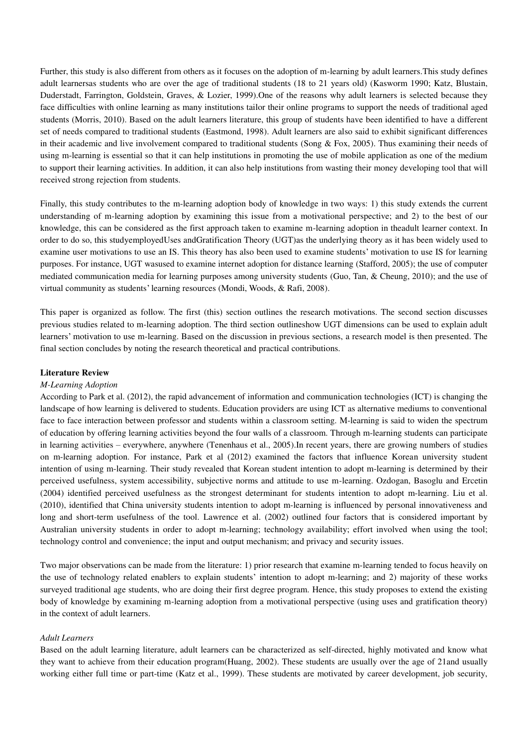Further, this study is also different from others as it focuses on the adoption of m-learning by adult learners.This study defines adult learnersas students who are over the age of traditional students (18 to 21 years old) (Kasworm 1990; Katz, Blustain, Duderstadt, Farrington, Goldstein, Graves, & Lozier, 1999).One of the reasons why adult learners is selected because they face difficulties with online learning as many institutions tailor their online programs to support the needs of traditional aged students (Morris, 2010). Based on the adult learners literature, this group of students have been identified to have a different set of needs compared to traditional students (Eastmond, 1998). Adult learners are also said to exhibit significant differences in their academic and live involvement compared to traditional students (Song  $\&$  Fox, 2005). Thus examining their needs of using m-learning is essential so that it can help institutions in promoting the use of mobile application as one of the medium to support their learning activities. In addition, it can also help institutions from wasting their money developing tool that will received strong rejection from students.

Finally, this study contributes to the m-learning adoption body of knowledge in two ways: 1) this study extends the current understanding of m-learning adoption by examining this issue from a motivational perspective; and 2) to the best of our knowledge, this can be considered as the first approach taken to examine m-learning adoption in theadult learner context. In order to do so, this studyemployedUses andGratification Theory (UGT)as the underlying theory as it has been widely used to examine user motivations to use an IS. This theory has also been used to examine students" motivation to use IS for learning purposes. For instance, UGT wasused to examine internet adoption for distance learning (Stafford, 2005); the use of computer mediated communication media for learning purposes among university students (Guo, Tan, & Cheung, 2010); and the use of virtual community as students" learning resources (Mondi, Woods, & Rafi, 2008).

This paper is organized as follow. The first (this) section outlines the research motivations. The second section discusses previous studies related to m-learning adoption. The third section outlineshow UGT dimensions can be used to explain adult learners' motivation to use m-learning. Based on the discussion in previous sections, a research model is then presented. The final section concludes by noting the research theoretical and practical contributions.

# **Literature Review**

# *M-Learning Adoption*

According to Park et al. (2012), the rapid advancement of information and communication technologies (ICT) is changing the landscape of how learning is delivered to students. Education providers are using ICT as alternative mediums to conventional face to face interaction between professor and students within a classroom setting. M-learning is said to widen the spectrum of education by offering learning activities beyond the four walls of a classroom. Through m-learning students can participate in learning activities – everywhere, anywhere (Tenenhaus et al., 2005).In recent years, there are growing numbers of studies on m-learning adoption. For instance, Park et al (2012) examined the factors that influence Korean university student intention of using m-learning. Their study revealed that Korean student intention to adopt m-learning is determined by their perceived usefulness, system accessibility, subjective norms and attitude to use m-learning. Ozdogan, Basoglu and Ercetin (2004) identified perceived usefulness as the strongest determinant for students intention to adopt m-learning. Liu et al. (2010), identified that China university students intention to adopt m-learning is influenced by personal innovativeness and long and short-term usefulness of the tool. Lawrence et al. (2002) outlined four factors that is considered important by Australian university students in order to adopt m-learning; technology availability; effort involved when using the tool; technology control and convenience; the input and output mechanism; and privacy and security issues.

Two major observations can be made from the literature: 1) prior research that examine m-learning tended to focus heavily on the use of technology related enablers to explain students' intention to adopt m-learning; and 2) majority of these works surveyed traditional age students, who are doing their first degree program. Hence, this study proposes to extend the existing body of knowledge by examining m-learning adoption from a motivational perspective (using uses and gratification theory) in the context of adult learners.

# *Adult Learners*

Based on the adult learning literature, adult learners can be characterized as self-directed, highly motivated and know what they want to achieve from their education program(Huang, 2002). These students are usually over the age of 21and usually working either full time or part-time (Katz et al., 1999). These students are motivated by career development, job security,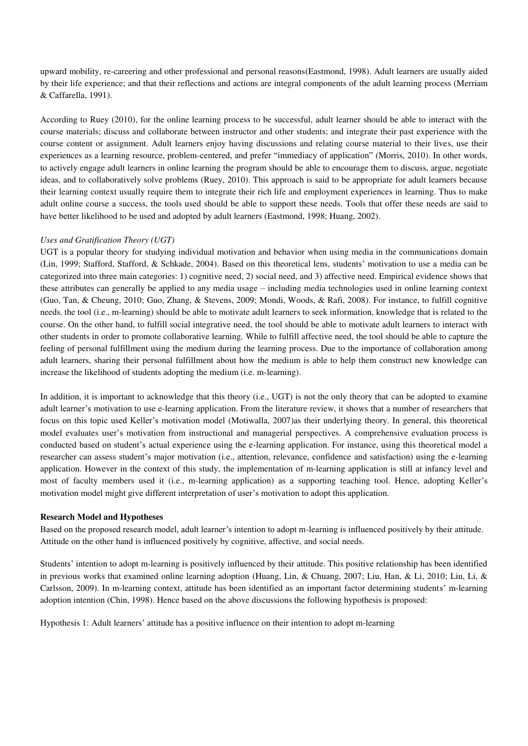upward mobility, re-careering and other professional and personal reasons(Eastmond, 1998). Adult learners are usually aided by their life experience; and that their reflections and actions are integral components of the adult learning process (Merriam & Caffarella, 1991).

According to Ruey (2010), for the online learning process to be successful, adult learner should be able to interact with the course materials; discuss and collaborate between instructor and other students; and integrate their past experience with the course content or assignment. Adult learners enjoy having discussions and relating course material to their lives, use their experiences as a learning resource, problem-centered, and prefer "immediacy of application" (Morris, 2010). In other words, to actively engage adult learners in online learning the program should be able to encourage them to discuss, argue, negotiate ideas, and to collaboratively solve problems (Ruey, 2010). This approach is said to be appropriate for adult learners because their learning context usually require them to integrate their rich life and employment experiences in learning. Thus to make adult online course a success, the tools used should be able to support these needs. Tools that offer these needs are said to have better likelihood to be used and adopted by adult learners (Eastmond, 1998; Huang, 2002).

# *Uses and Gratification Theory (UGT)*

UGT is a popular theory for studying individual motivation and behavior when using media in the communications domain (Lin, 1999; Stafford, Stafford, & Schkade, 2004). Based on this theoretical lens, students" motivation to use a media can be categorized into three main categories: 1) cognitive need, 2) social need, and 3) affective need. Empirical evidence shows that these attributes can generally be applied to any media usage – including media technologies used in online learning context (Guo, Tan, & Cheung, 2010; Guo, Zhang, & Stevens, 2009; Mondi, Woods, & Rafi, 2008). For instance, to fulfill cognitive needs, the tool (i.e., m-learning) should be able to motivate adult learners to seek information, knowledge that is related to the course. On the other hand, to fulfill social integrative need, the tool should be able to motivate adult learners to interact with other students in order to promote collaborative learning. While to fulfill affective need, the tool should be able to capture the feeling of personal fulfillment using the medium during the learning process. Due to the importance of collaboration among adult learners, sharing their personal fulfillment about how the medium is able to help them construct new knowledge can increase the likelihood of students adopting the medium (i.e. m-learning).

In addition, it is important to acknowledge that this theory (i.e., UGT) is not the only theory that can be adopted to examine adult learner"s motivation to use e-learning application. From the literature review, it shows that a number of researchers that focus on this topic used Keller"s motivation model (Motiwalla, 2007)as their underlying theory. In general, this theoretical model evaluates user's motivation from instructional and managerial perspectives. A comprehensive evaluation process is conducted based on student"s actual experience using the e-learning application. For instance, using this theoretical model a researcher can assess student"s major motivation (i.e., attention, relevance, confidence and satisfaction) using the e-learning application. However in the context of this study, the implementation of m-learning application is still at infancy level and most of faculty members used it (i.e., m-learning application) as a supporting teaching tool. Hence, adopting Keller"s motivation model might give different interpretation of user's motivation to adopt this application.

# **Research Model and Hypotheses**

Based on the proposed research model, adult learner"s intention to adopt m-learning is influenced positively by their attitude. Attitude on the other hand is influenced positively by cognitive, affective, and social needs.

Students' intention to adopt m-learning is positively influenced by their attitude. This positive relationship has been identified in previous works that examined online learning adoption (Huang, Lin, & Chuang, 2007; Liu, Han, & Li, 2010; Liu, Li, & Carlsson, 2009). In m-learning context, attitude has been identified as an important factor determining students" m-learning adoption intention (Chin, 1998). Hence based on the above discussions the following hypothesis is proposed:

Hypothesis 1: Adult learners" attitude has a positive influence on their intention to adopt m-learning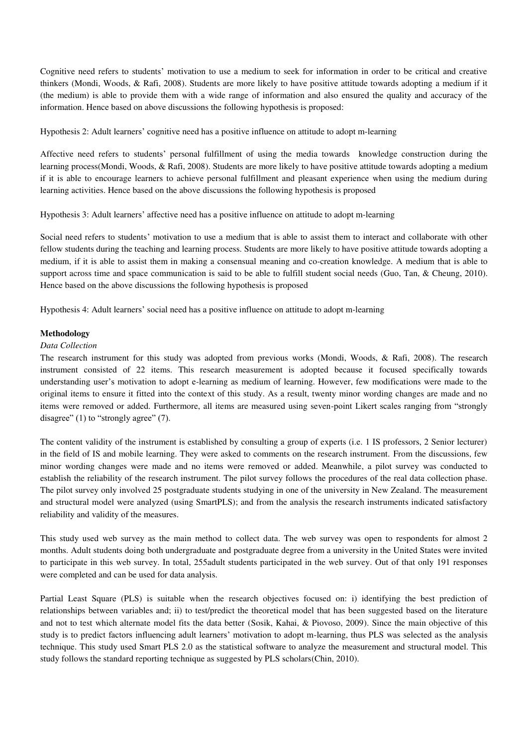Cognitive need refers to students" motivation to use a medium to seek for information in order to be critical and creative thinkers (Mondi, Woods, & Rafi, 2008). Students are more likely to have positive attitude towards adopting a medium if it (the medium) is able to provide them with a wide range of information and also ensured the quality and accuracy of the information. Hence based on above discussions the following hypothesis is proposed:

Hypothesis 2: Adult learners" cognitive need has a positive influence on attitude to adopt m-learning

Affective need refers to students" personal fulfillment of using the media towards knowledge construction during the learning process(Mondi, Woods, & Rafi, 2008). Students are more likely to have positive attitude towards adopting a medium if it is able to encourage learners to achieve personal fulfillment and pleasant experience when using the medium during learning activities. Hence based on the above discussions the following hypothesis is proposed

Hypothesis 3: Adult learners" affective need has a positive influence on attitude to adopt m-learning

Social need refers to students" motivation to use a medium that is able to assist them to interact and collaborate with other fellow students during the teaching and learning process. Students are more likely to have positive attitude towards adopting a medium, if it is able to assist them in making a consensual meaning and co-creation knowledge. A medium that is able to support across time and space communication is said to be able to fulfill student social needs (Guo, Tan, & Cheung, 2010). Hence based on the above discussions the following hypothesis is proposed

Hypothesis 4: Adult learners" social need has a positive influence on attitude to adopt m-learning

# **Methodology**

# *Data Collection*

The research instrument for this study was adopted from previous works (Mondi, Woods, & Rafi, 2008). The research instrument consisted of 22 items. This research measurement is adopted because it focused specifically towards understanding user's motivation to adopt e-learning as medium of learning. However, few modifications were made to the original items to ensure it fitted into the context of this study. As a result, twenty minor wording changes are made and no items were removed or added. Furthermore, all items are measured using seven-point Likert scales ranging from "strongly disagree" (1) to "strongly agree" (7).

The content validity of the instrument is established by consulting a group of experts (i.e. 1 IS professors, 2 Senior lecturer) in the field of IS and mobile learning. They were asked to comments on the research instrument. From the discussions, few minor wording changes were made and no items were removed or added. Meanwhile, a pilot survey was conducted to establish the reliability of the research instrument. The pilot survey follows the procedures of the real data collection phase. The pilot survey only involved 25 postgraduate students studying in one of the university in New Zealand. The measurement and structural model were analyzed (using SmartPLS); and from the analysis the research instruments indicated satisfactory reliability and validity of the measures.

This study used web survey as the main method to collect data. The web survey was open to respondents for almost 2 months. Adult students doing both undergraduate and postgraduate degree from a university in the United States were invited to participate in this web survey. In total, 255adult students participated in the web survey. Out of that only 191 responses were completed and can be used for data analysis.

Partial Least Square (PLS) is suitable when the research objectives focused on: i) identifying the best prediction of relationships between variables and; ii) to test/predict the theoretical model that has been suggested based on the literature and not to test which alternate model fits the data better (Sosik, Kahai, & Piovoso, 2009). Since the main objective of this study is to predict factors influencing adult learners" motivation to adopt m-learning, thus PLS was selected as the analysis technique. This study used Smart PLS 2.0 as the statistical software to analyze the measurement and structural model. This study follows the standard reporting technique as suggested by PLS scholars(Chin, 2010).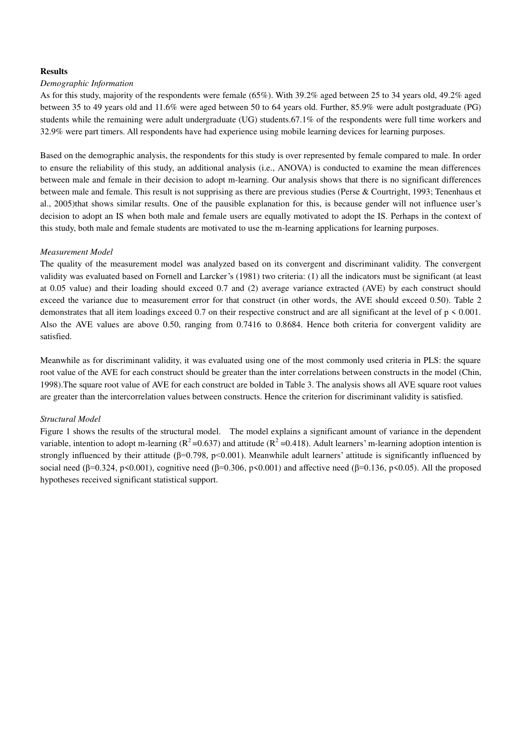# **Results**

#### *Demographic Information*

As for this study, majority of the respondents were female (65%). With 39.2% aged between 25 to 34 years old, 49.2% aged between 35 to 49 years old and 11.6% were aged between 50 to 64 years old. Further, 85.9% were adult postgraduate (PG) students while the remaining were adult undergraduate (UG) students.67.1% of the respondents were full time workers and 32.9% were part timers. All respondents have had experience using mobile learning devices for learning purposes.

Based on the demographic analysis, the respondents for this study is over represented by female compared to male. In order to ensure the reliability of this study, an additional analysis (i.e., ANOVA) is conducted to examine the mean differences between male and female in their decision to adopt m-learning. Our analysis shows that there is no significant differences between male and female. This result is not supprising as there are previous studies (Perse & Courtright, 1993; Tenenhaus et al., 2005)that shows similar results. One of the pausible explanation for this, is because gender will not influence user"s decision to adopt an IS when both male and female users are equally motivated to adopt the IS. Perhaps in the context of this study, both male and female students are motivated to use the m-learning applications for learning purposes.

#### *Measurement Model*

The quality of the measurement model was analyzed based on its convergent and discriminant validity. The convergent validity was evaluated based on Fornell and Larcker"s (1981) two criteria: (1) all the indicators must be significant (at least at 0.05 value) and their loading should exceed 0.7 and (2) average variance extracted (AVE) by each construct should exceed the variance due to measurement error for that construct (in other words, the AVE should exceed 0.50). Table 2 demonstrates that all item loadings exceed 0.7 on their respective construct and are all significant at the level of  $p < 0.001$ . Also the AVE values are above 0.50, ranging from 0.7416 to 0.8684. Hence both criteria for convergent validity are satisfied.

Meanwhile as for discriminant validity, it was evaluated using one of the most commonly used criteria in PLS: the square root value of the AVE for each construct should be greater than the inter correlations between constructs in the model (Chin, 1998).The square root value of AVE for each construct are bolded in Table 3. The analysis shows all AVE square root values are greater than the intercorrelation values between constructs. Hence the criterion for discriminant validity is satisfied.

#### *Structural Model*

Figure 1 shows the results of the structural model. The model explains a significant amount of variance in the dependent variable, intention to adopt m-learning ( $R^2$ =0.637) and attitude ( $R^2$ =0.418). Adult learners' m-learning adoption intention is strongly influenced by their attitude ( $\beta$ =0.798, p<0.001). Meanwhile adult learners' attitude is significantly influenced by social need ( $\beta$ =0.324, p<0.001), cognitive need ( $\beta$ =0.306, p<0.001) and affective need ( $\beta$ =0.136, p<0.05). All the proposed hypotheses received significant statistical support.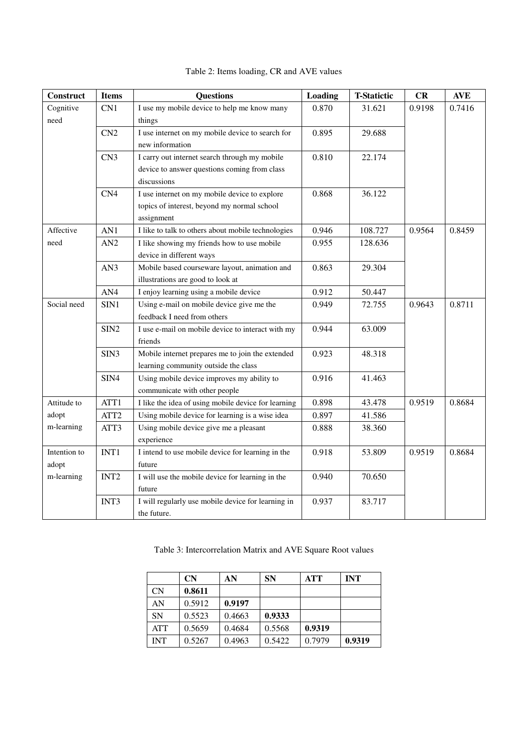| Construct    | <b>Items</b>     | <b>Questions</b>                                    | Loading | <b>T-Statictic</b> | CR     | <b>AVE</b> |
|--------------|------------------|-----------------------------------------------------|---------|--------------------|--------|------------|
| Cognitive    | CN1              | I use my mobile device to help me know many         | 0.870   | 31.621             | 0.9198 | 0.7416     |
| need         |                  | things                                              |         |                    |        |            |
|              | CN <sub>2</sub>  | I use internet on my mobile device to search for    | 0.895   | 29.688             |        |            |
|              |                  | new information                                     |         |                    |        |            |
|              | CN <sub>3</sub>  | I carry out internet search through my mobile       | 0.810   | 22.174             |        |            |
|              |                  | device to answer questions coming from class        |         |                    |        |            |
|              |                  | discussions                                         |         |                    |        |            |
|              | CN <sub>4</sub>  | I use internet on my mobile device to explore       | 0.868   | 36.122             |        |            |
|              |                  | topics of interest, beyond my normal school         |         |                    |        |            |
|              |                  | assignment                                          |         |                    |        |            |
| Affective    | AN1              | I like to talk to others about mobile technologies  | 0.946   | 108.727            | 0.9564 | 0.8459     |
| need         | AN2              | I like showing my friends how to use mobile         | 0.955   | 128.636            |        |            |
|              |                  | device in different ways                            |         |                    |        |            |
|              | AN3              | Mobile based courseware layout, animation and       | 0.863   | 29.304             |        |            |
|              |                  | illustrations are good to look at                   |         |                    |        |            |
|              | AN4              | I enjoy learning using a mobile device              | 0.912   | 50.447             |        |            |
| Social need  | SIN1             | Using e-mail on mobile device give me the           | 0.949   | 72.755             | 0.9643 | 0.8711     |
|              |                  | feedback I need from others                         |         |                    |        |            |
|              | SIN <sub>2</sub> | I use e-mail on mobile device to interact with my   | 0.944   | 63.009             |        |            |
|              |                  | friends                                             |         |                    |        |            |
|              | SIN3             | Mobile internet prepares me to join the extended    | 0.923   | 48.318             |        |            |
|              |                  | learning community outside the class                |         |                    |        |            |
|              | SIN4             | Using mobile device improves my ability to          | 0.916   | 41.463             |        |            |
|              |                  | communicate with other people                       |         |                    |        |            |
| Attitude to  | ATT1             | I like the idea of using mobile device for learning | 0.898   | 43.478             | 0.9519 | 0.8684     |
| adopt        | ATT <sub>2</sub> | Using mobile device for learning is a wise idea     | 0.897   | 41.586             |        |            |
| m-learning   | ATT3             | Using mobile device give me a pleasant              | 0.888   | 38.360             |        |            |
|              |                  | experience                                          |         |                    |        |            |
| Intention to | INT1             | I intend to use mobile device for learning in the   | 0.918   | 53.809             | 0.9519 | 0.8684     |
| adopt        |                  | future                                              |         |                    |        |            |
| m-learning   | INT <sub>2</sub> | I will use the mobile device for learning in the    | 0.940   | 70.650             |        |            |
|              |                  | future                                              |         |                    |        |            |
|              | INT3             | I will regularly use mobile device for learning in  | 0.937   | 83.717             |        |            |
|              |                  | the future.                                         |         |                    |        |            |

# Table 2: Items loading, CR and AVE values

Table 3: Intercorrelation Matrix and AVE Square Root values

|            | <b>CN</b> | AN     | <b>SN</b> | ATT    | <b>INT</b> |
|------------|-----------|--------|-----------|--------|------------|
| CN         | 0.8611    |        |           |        |            |
| AN         | 0.5912    | 0.9197 |           |        |            |
| <b>SN</b>  | 0.5523    | 0.4663 | 0.9333    |        |            |
| <b>ATT</b> | 0.5659    | 0.4684 | 0.5568    | 0.9319 |            |
| <b>INT</b> | 0.5267    | 0.4963 | 0.5422    | 0.7979 | 0.9319     |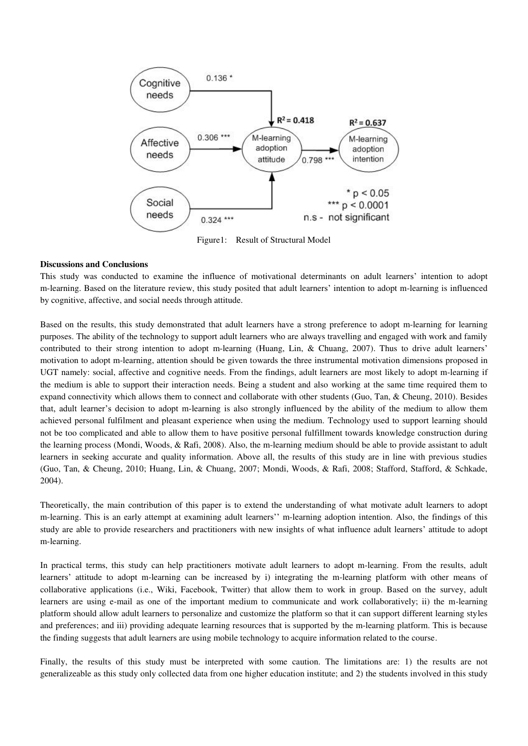

Figure1: Result of Structural Model

# **Discussions and Conclusions**

This study was conducted to examine the influence of motivational determinants on adult learners" intention to adopt m-learning. Based on the literature review, this study posited that adult learners" intention to adopt m-learning is influenced by cognitive, affective, and social needs through attitude.

Based on the results, this study demonstrated that adult learners have a strong preference to adopt m-learning for learning purposes. The ability of the technology to support adult learners who are always travelling and engaged with work and family contributed to their strong intention to adopt m-learning (Huang, Lin, & Chuang, 2007). Thus to drive adult learners' motivation to adopt m-learning, attention should be given towards the three instrumental motivation dimensions proposed in UGT namely: social, affective and cognitive needs. From the findings, adult learners are most likely to adopt m-learning if the medium is able to support their interaction needs. Being a student and also working at the same time required them to expand connectivity which allows them to connect and collaborate with other students (Guo, Tan, & Cheung, 2010). Besides that, adult learner"s decision to adopt m-learning is also strongly influenced by the ability of the medium to allow them achieved personal fulfilment and pleasant experience when using the medium. Technology used to support learning should not be too complicated and able to allow them to have positive personal fulfillment towards knowledge construction during the learning process (Mondi, Woods,  $\&$  Rafi, 2008). Also, the m-learning medium should be able to provide assistant to adult learners in seeking accurate and quality information. Above all, the results of this study are in line with previous studies (Guo, Tan, & Cheung, 2010; Huang, Lin, & Chuang, 2007; Mondi, Woods, & Rafi, 2008; Stafford, Stafford, & Schkade, 2004).

Theoretically, the main contribution of this paper is to extend the understanding of what motivate adult learners to adopt m-learning. This is an early attempt at examining adult learners"" m-learning adoption intention. Also, the findings of this study are able to provide researchers and practitioners with new insights of what influence adult learners" attitude to adopt m-learning.

In practical terms, this study can help practitioners motivate adult learners to adopt m-learning. From the results, adult learners' attitude to adopt m-learning can be increased by i) integrating the m-learning platform with other means of collaborative applications (i.e., Wiki, Facebook, Twitter) that allow them to work in group. Based on the survey, adult learners are using e-mail as one of the important medium to communicate and work collaboratively; ii) the m-learning platform should allow adult learners to personalize and customize the platform so that it can support different learning styles and preferences; and iii) providing adequate learning resources that is supported by the m-learning platform. This is because the finding suggests that adult learners are using mobile technology to acquire information related to the course.

Finally, the results of this study must be interpreted with some caution. The limitations are: 1) the results are not generalizeable as this study only collected data from one higher education institute; and 2) the students involved in this study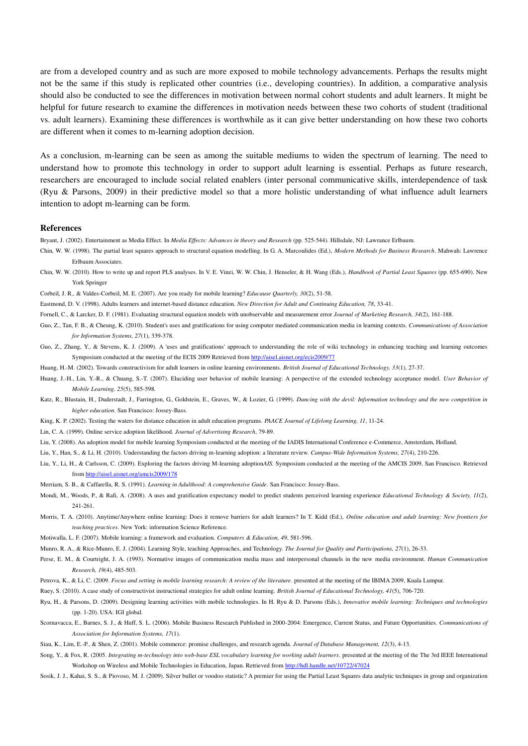are from a developed country and as such are more exposed to mobile technology advancements. Perhaps the results might not be the same if this study is replicated other countries (i.e., developing countries). In addition, a comparative analysis should also be conducted to see the differences in motivation between normal cohort students and adult learners. It might be helpful for future research to examine the differences in motivation needs between these two cohorts of student (traditional vs. adult learners). Examining these differences is worthwhile as it can give better understanding on how these two cohorts are different when it comes to m-learning adoption decision.

As a conclusion, m-learning can be seen as among the suitable mediums to widen the spectrum of learning. The need to understand how to promote this technology in order to support adult learning is essential. Perhaps as future research, researchers are encouraged to include social related enablers (inter personal communicative skills, interdependence of task (Ryu & Parsons, 2009) in their predictive model so that a more holistic understanding of what influence adult learners intention to adopt m-learning can be form.

#### **References**

Bryant, J. (2002). Entertainment as Media Effect. In *Media Effects: Advances in theory and Research* (pp. 525-544). Hillsdale, NJ: Lawrance Erlbaum.

- Chin, W. W. (1998). The partial least squares approach to structural equation modelling. In G. A. Marcoulides (Ed.), *Modern Methods for Business Research*. Mahwah: Lawrence Erlbaum Associates.
- Chin, W. W. (2010). How to write up and report PLS analyses. In V. E. Vinzi, W. W. Chin, J. Henseler, & H. Wang (Eds.), *Handbook of Partial Least Squares* (pp. 655-690). New York Springer

Corbeil, J. R., & Valdes-Corbeil, M. E. (2007). Are you ready for mobile learning? *Educause Quarterly, 30*(2), 51-58.

Eastmond, D. V. (1998). Adults learners and internet-based distance education. *New Direction for Adult and Continuing Education, 78*, 33-41.

Fornell, C., & Larcker, D. F. (1981). Evaluating structural equation models with unobservable and measuremenr error *Journal of Marketing Research, 34*(2), 161-188.

- Guo, Z., Tan, F. B., & Cheung, K. (2010). Student's uses and gratifications for using computer mediated communication media in learning contexts. Communications of Association *for Information Systems, 27*(1), 339-378.
- Guo, Z., Zhang, Y., & Stevens, K. J. (2009). A 'uses and gratifications' approach to understanding the role of wiki technology in enhancing teaching and learning outcomes Symposium conducted at the meeting of the ECIS 2009 Retrieved fro[m http://aisel.aisnet.org/ecis2009/77](http://aisel.aisnet.org/ecis2009/77)

Huang, H.-M. (2002). Towards constructivism for adult learners in online learning environments. *British Journal of Educational Technology, 33*(1), 27-37.

- Huang, J.-H., Lin, Y.-R., & Chuang, S.-T. (2007). Eluciding user behavior of mobile learning: A perspective of the extended technology acceptance model. *User Behavior of Mobile Learning, 25*(5), 585-598.
- Katz, R., Blustain, H., Duderstadt, J., Farrington, G., Goldstein, E., Graves, W., & Lozier, G. (1999). *Dancing with the devil: Information technology and the new competition in higher education*. San Francisco: Jossey-Bass.

King, K. P. (2002). Testing the waters for distance education in adult education programs. *PAACE Journal of Lifelong Learning, 11*, 11-24.

Lin, C. A. (1999). Online service adoption likelihood. *Journal of Advertising Research*, 79-89.

Liu, Y. (2008). An adoption model for mobile learning Symposium conducted at the meeting of the IADIS International Conference e-Commerce, Amsterdam, Holland.

Liu, Y., Han, S., & Li, H. (2010). Understanding the factors driving m-learning adoption: a literature review. *Campus-Wide Information Systems, 27*(4), 210-226.

Liu, Y., Li, H., & Carlsson, C. (2009). Exploring the factors driving M-learning adoption*AIS.* Symposium conducted at the meeting of the AMCIS 2009, San Francisco. Retrieved fro[m http://aisel.aisnet.org/amcis2009/178](http://aisel.aisnet.org/amcis2009/178)

Merriam, S. B., & Caffarella, R. S. (1991). *Learning in Adulthood: A comprehensive Guide*. San Francisco: Jossey-Bass.

- Mondi, M., Woods, P., & Rafi, A. (2008). A uses and gratification expectancy model to predict students perceived learning experience *Educational Technology & Society, 11*(2), 241-261.
- Morris, T. A. (2010). Anytime/Anywhere online learning: Does it remove barriers for adult learners? In T. Kidd (Ed.), *Online education and adult learning: New frontiers for teaching practices*. New York: information Science Reference.
- Motiwalla, L. F. (2007). Mobile learning: a framework and evaluation. *Computers & Education, 49*, 581-596.
- Munro, R. A., & Rice-Munro, E. J. (2004). Learning Style, teaching Approaches, and Technology. *The Journal for Quality and Participations, 27*(1), 26-33.
- Perse, E. M., & Courtright, J. A. (1993). Normative images of communication media mass and interpersonal channels in the new media environment. *Human Communication Research, 19*(4), 485-503.

Petrova, K., & Li, C. (2009. *Focus and setting in mobile learning research: A review of the literature*. presented at the meeting of the IBIMA 2009, Kuala Lumpur.

- Ruey, S. (2010). A case study of constructivist instructional strategies for adult online learning. *British Journal of Educational Technology, 41*(5), 706-720.
- Ryu, H., & Parsons, D. (2009). Designing learning activities with mobile technologies. In H. Ryu & D. Parsons (Eds.), *Innovative mobile learning: Techniques and technologies* (pp. 1-20). USA: IGI global.
- Scornavacca, E., Barnes, S. J., & Huff, S. L. (2006). Mobile Business Research Published in 2000-2004: Emergence, Current Status, and Future Opportunities. *Communications of Association for Information Systems, 17*(1).

Siau, K., Lim, E.-P., & Shen, Z. (2001). Mobile commerce: promise challenges, and research agenda. *Journal of Database Management, 12*(3), 4-13.

- Song, Y., & Fox, R. (2005. *Integrating m-technology into web-base ESL vocabulary learning for working adult learners*. presented at the meeting of the The 3rd IEEE International Workshop on Wireless and Mobile Technologies in Education, Japan. Retrieved from<http://hdl.handle.net/10722/47024>
- Sosik, J. J., Kahai, S. S., & Piovoso, M. J. (2009). Silver bullet or voodoo statistic? A premier for using the Partial Least Squares data analytic techniques in group and organization